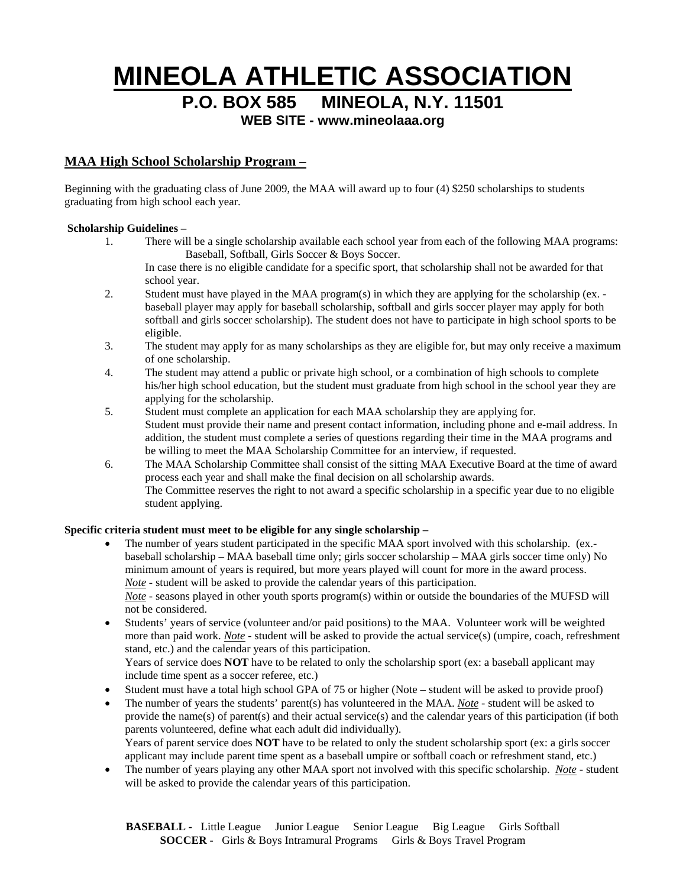# **MINEOLA ATHLETIC ASSOCIATION**

**P.O. BOX 585 MINEOLA, N.Y. 11501**

**WEB SITE - www.mineolaaa.org**

## **MAA High School Scholarship Program –**

Beginning with the graduating class of June 2009, the MAA will award up to four (4) \$250 scholarships to students graduating from high school each year.

#### **Scholarship Guidelines –**

1. There will be a single scholarship available each school year from each of the following MAA programs: Baseball, Softball, Girls Soccer & Boys Soccer.

In case there is no eligible candidate for a specific sport, that scholarship shall not be awarded for that school year.

- 2. Student must have played in the MAA program(s) in which they are applying for the scholarship (ex. baseball player may apply for baseball scholarship, softball and girls soccer player may apply for both softball and girls soccer scholarship). The student does not have to participate in high school sports to be eligible.
- 3. The student may apply for as many scholarships as they are eligible for, but may only receive a maximum of one scholarship.
- 4. The student may attend a public or private high school, or a combination of high schools to complete his/her high school education, but the student must graduate from high school in the school year they are applying for the scholarship.
- 5. Student must complete an application for each MAA scholarship they are applying for. Student must provide their name and present contact information, including phone and e-mail address. In addition, the student must complete a series of questions regarding their time in the MAA programs and be willing to meet the MAA Scholarship Committee for an interview, if requested.
- 6. The MAA Scholarship Committee shall consist of the sitting MAA Executive Board at the time of award process each year and shall make the final decision on all scholarship awards. The Committee reserves the right to not award a specific scholarship in a specific year due to no eligible student applying.

#### **Specific criteria student must meet to be eligible for any single scholarship –**

- The number of years student participated in the specific MAA sport involved with this scholarship. (ex. baseball scholarship – MAA baseball time only; girls soccer scholarship – MAA girls soccer time only) No minimum amount of years is required, but more years played will count for more in the award process. *Note* - student will be asked to provide the calendar years of this participation. *Note* - seasons played in other youth sports program(s) within or outside the boundaries of the MUFSD will not be considered.
- Students' years of service (volunteer and/or paid positions) to the MAA. Volunteer work will be weighted more than paid work. *Note* - student will be asked to provide the actual service(s) (umpire, coach, refreshment stand, etc.) and the calendar years of this participation. Years of service does **NOT** have to be related to only the scholarship sport (ex: a baseball applicant may

include time spent as a soccer referee, etc.)

- Student must have a total high school GPA of 75 or higher (Note student will be asked to provide proof)
- The number of years the students' parent(s) has volunteered in the MAA. *Note* student will be asked to provide the name(s) of parent(s) and their actual service(s) and the calendar years of this participation (if both parents volunteered, define what each adult did individually). Years of parent service does **NOT** have to be related to only the student scholarship sport (ex: a girls soccer applicant may include parent time spent as a baseball umpire or softball coach or refreshment stand, etc.)
- The number of years playing any other MAA sport not involved with this specific scholarship. *Note* student will be asked to provide the calendar years of this participation.